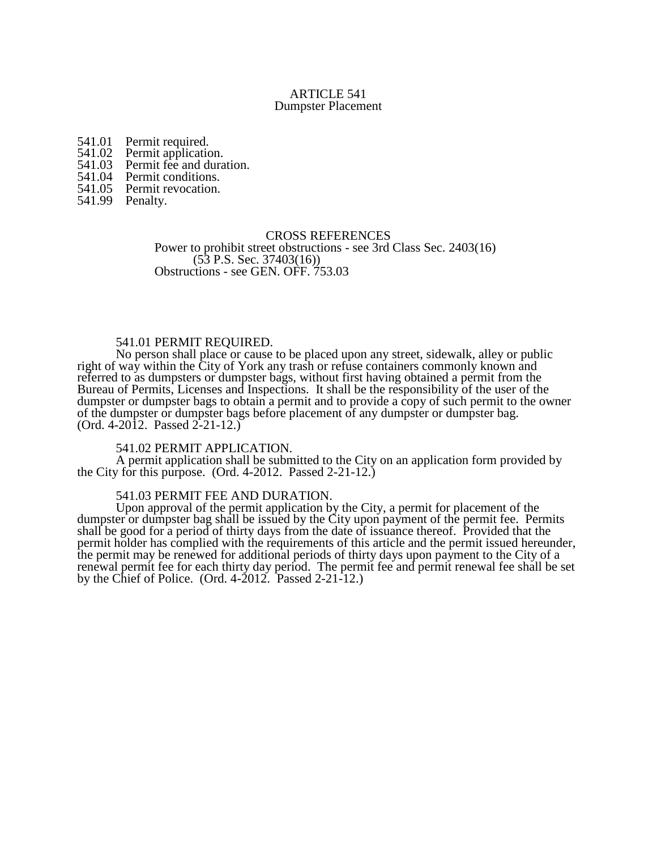## ARTICLE 541 Dumpster Placement

541.01 Permit required.<br>541.02 Permit application

541.02 Permit application.<br>541.03 Permit fee and dura

- 541.03 Permit fee and duration.<br>541.04 Permit conditions.
- 541.04 Permit conditions.<br>541.05 Permit revocation.
- Permit revocation.
- 541.99 Penalty.

### CROSS REFERENCES

Power to prohibit street obstructions - see 3rd Class Sec. 2403(16) (53 P.S. Sec. 37403(16)) Obstructions - see GEN. OFF. 753.03

# 541.01 PERMIT REQUIRED.

No person shall place or cause to be placed upon any street, sidewalk, alley or public right of way within the City of York any trash or refuse containers commonly known and referred to as dumpsters or dumpster bags, without first having obtained a permit from the Bureau of Permits, Licenses and Inspections. It shall be the responsibility of the user of the dumpster or dumpster bags to obtain a permit and to provide a copy of such permit to the owner of the dumpster or dumpster bags before placement of any dumpster or dumpster bag. (Ord. 4-2012. Passed 2-21-12.)

### 541.02 PERMIT APPLICATION.

A permit application shall be submitted to the City on an application form provided by the City for this purpose. (Ord. 4-2012. Passed 2-21-12.)

# 541.03 PERMIT FEE AND DURATION.

Upon approval of the permit application by the City, a permit for placement of the dumpster or dumpster bag shall be issued by the City upon payment of the permit fee. Permits shall be good for a period of thirty days from the date of issuance thereof. Provided that the permit holder has complied with the requirements of this article and the permit issued hereunder, the permit may be renewed for additional periods of thirty days upon payment to the City of a renewal permit fee for each thirty day period. The permit fee and permit renewal fee shall be set by the Chief of Police. (Ord. 4-2012. Passed 2-21-12.)